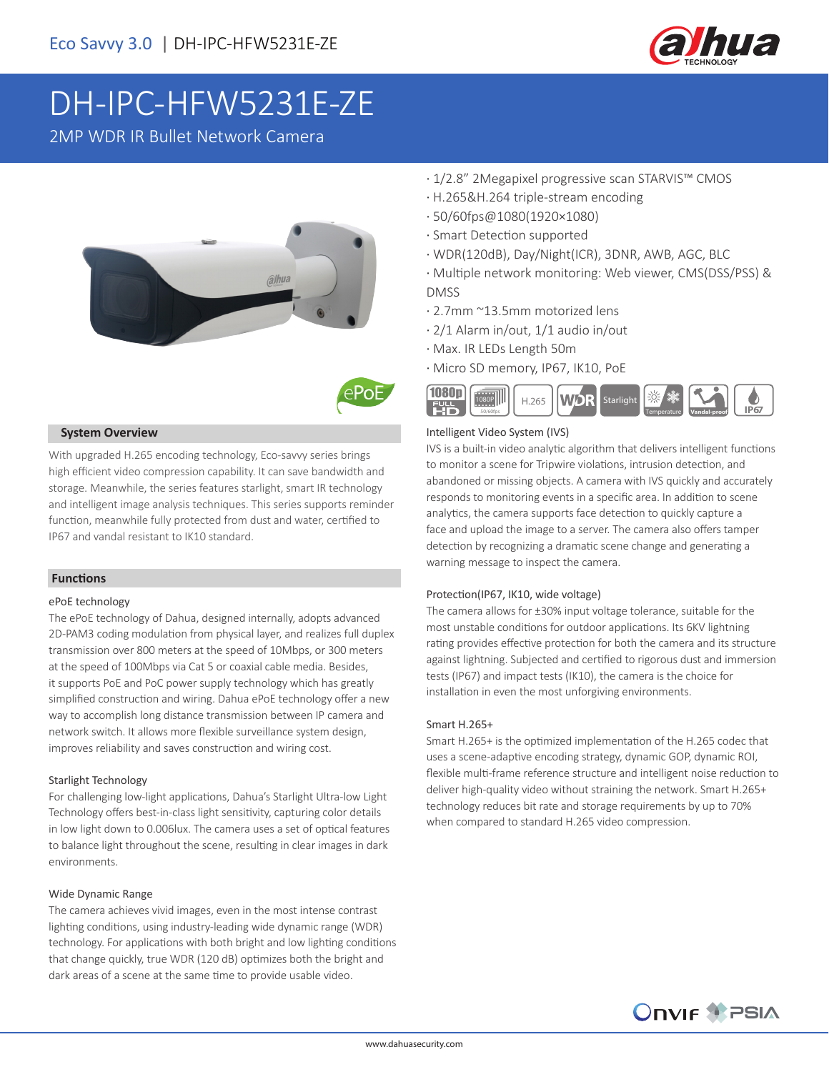

# DH-IPC-HFW5231E-ZE

2MP WDR IR Bullet Network Camera





#### **System Overview**

With upgraded H.265 encoding technology, Eco-savvy series brings high efficient video compression capability. It can save bandwidth and storage. Meanwhile, the series features starlight, smart IR technology and intelligent image analysis techniques. This series supports reminder function, meanwhile fully protected from dust and water, certified to IP67 and vandal resistant to IK10 standard.

#### **Functions**

#### ePoE technology

The ePoE technology of Dahua, designed internally, adopts advanced 2D-PAM3 coding modulation from physical layer, and realizes full duplex transmission over 800 meters at the speed of 10Mbps, or 300 meters at the speed of 100Mbps via Cat 5 or coaxial cable media. Besides, it supports PoE and PoC power supply technology which has greatly simplified construction and wiring. Dahua ePoE technology offer a new way to accomplish long distance transmission between IP camera and network switch. It allows more flexible surveillance system design, improves reliability and saves construction and wiring cost.

#### Starlight Technology

For challenging low-light applications, Dahua's Starlight Ultra-low Light Technology offers best-in-class light sensitivity, capturing color details in low light down to 0.006lux. The camera uses a set of optical features to balance light throughout the scene, resulting in clear images in dark environments.

#### Wide Dynamic Range

The camera achieves vivid images, even in the most intense contrast lighting conditions, using industry-leading wide dynamic range (WDR) technology. For applications with both bright and low lighting conditions that change quickly, true WDR (120 dB) optimizes both the bright and dark areas of a scene at the same time to provide usable video.

- · 1/2.8" 2Megapixel progressive scan STARVIS™ CMOS
- · H.265&H.264 triple-stream encoding
- · 50/60fps@1080(1920×1080)
- · Smart Detection supported
- · WDR(120dB), Day/Night(ICR), 3DNR, AWB, AGC, BLC
- · Multiple network monitoring: Web viewer, CMS(DSS/PSS) & DMSS
- · 2.7mm ~13.5mm motorized lens
- · 2/1 Alarm in/out, 1/1 audio in/out
- · Max. IR LEDs Length 50m
- · Micro SD memory, IP67, IK10, PoE



#### Intelligent Video System (IVS)

IVS is a built-in video analytic algorithm that delivers intelligent functions to monitor a scene for Tripwire violations, intrusion detection, and abandoned or missing objects. A camera with IVS quickly and accurately responds to monitoring events in a specific area. In addition to scene analytics, the camera supports face detection to quickly capture a face and upload the image to a server. The camera also offers tamper detection by recognizing a dramatic scene change and generating a warning message to inspect the camera.

#### Protection(IP67, IK10, wide voltage)

The camera allows for ±30% input voltage tolerance, suitable for the most unstable conditions for outdoor applications. Its 6KV lightning rating provides effective protection for both the camera and its structure against lightning. Subjected and certified to rigorous dust and immersion tests (IP67) and impact tests (IK10), the camera is the choice for installation in even the most unforgiving environments.

#### Smart H.265+

Smart H.265+ is the optimized implementation of the H.265 codec that uses a scene-adaptive encoding strategy, dynamic GOP, dynamic ROI, flexible multi-frame reference structure and intelligent noise reduction to deliver high-quality video without straining the network. Smart H.265+ technology reduces bit rate and storage requirements by up to 70% when compared to standard H.265 video compression.

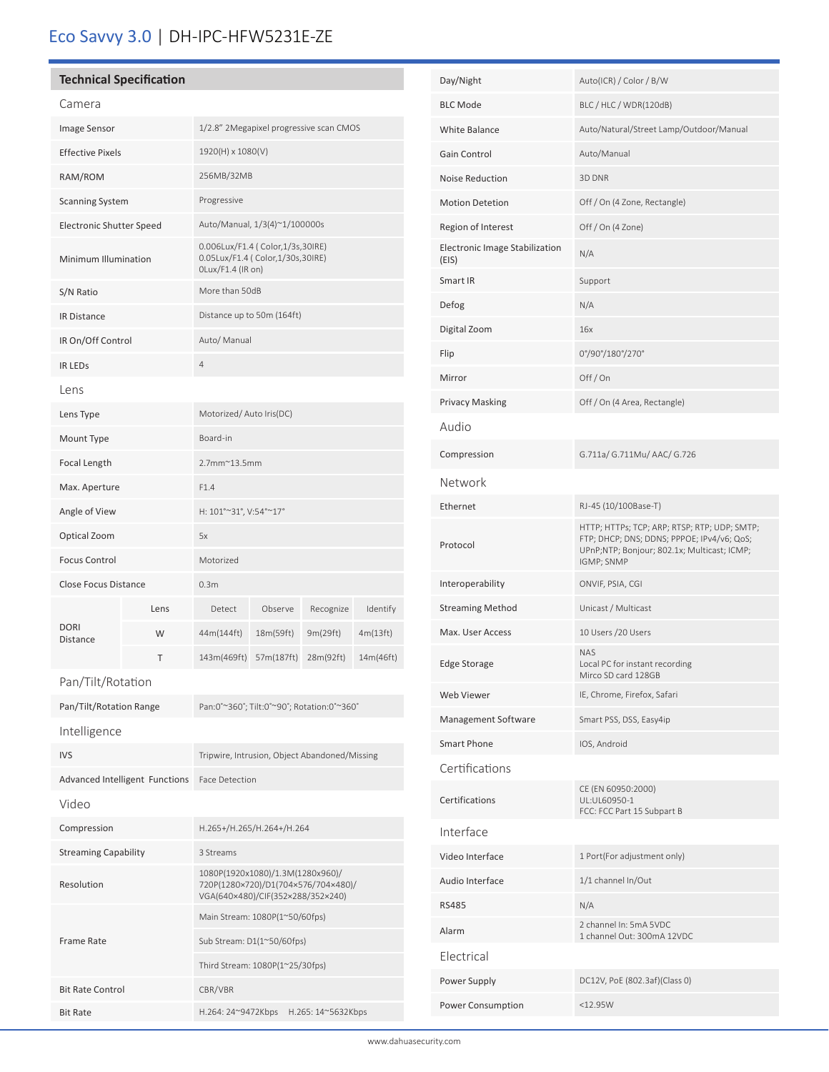## Eco Savvy 3.0 | DH-IPC-HFW5231E-ZE

| <b>Technical Specification</b><br>Camera<br>Image Sensor<br>1/2.8" 2Megapixel progressive scan CMOS<br>1920(H) x 1080(V)<br><b>Effective Pixels</b><br>256MB/32MB<br>RAM/ROM<br>Progressive<br><b>Scanning System</b><br>Auto/Manual, 1/3(4)~1/100000s<br><b>Electronic Shutter Speed</b><br>0.006Lux/F1.4 ( Color, 1/3s, 30IRE)<br>0.05Lux/F1.4 ( Color, 1/30s, 30IRE)<br>Minimum Illumination<br>OLux/F1.4 (IR on)<br>More than 50dB<br>S/N Ratio<br>Distance up to 50m (164ft)<br><b>IR Distance</b><br>Auto/ Manual<br>IR On/Off Control<br>$\overline{4}$<br><b>IR LEDS</b><br>Lens<br>Motorized/Auto Iris(DC)<br>Lens Type<br>Board-in<br>Mount Type<br>2.7mm~13.5mm<br>Focal Length<br>F1.4<br>Max. Aperture<br>H: 101°~31°, V:54°~17°<br>Angle of View<br>Optical Zoom<br>5x<br>Motorized<br><b>Focus Control</b><br><b>Close Focus Distance</b><br>0.3 <sub>m</sub><br>Detect<br>Observe<br>Recognize<br>Lens<br><b>DORI</b><br>44m(144ft)<br>18m(59ft)<br>9m(29ft)<br>4m(13ft)<br>W<br><b>Distance</b><br>T<br>143m(469ft)<br>57m(187ft)<br>28m(92ft)<br>Pan/Tilt/Rotation |  |  |  |  |  |          |
|--------------------------------------------------------------------------------------------------------------------------------------------------------------------------------------------------------------------------------------------------------------------------------------------------------------------------------------------------------------------------------------------------------------------------------------------------------------------------------------------------------------------------------------------------------------------------------------------------------------------------------------------------------------------------------------------------------------------------------------------------------------------------------------------------------------------------------------------------------------------------------------------------------------------------------------------------------------------------------------------------------------------------------------------------------------------------------------|--|--|--|--|--|----------|
|                                                                                                                                                                                                                                                                                                                                                                                                                                                                                                                                                                                                                                                                                                                                                                                                                                                                                                                                                                                                                                                                                      |  |  |  |  |  |          |
| 14m(46ft)                                                                                                                                                                                                                                                                                                                                                                                                                                                                                                                                                                                                                                                                                                                                                                                                                                                                                                                                                                                                                                                                            |  |  |  |  |  |          |
|                                                                                                                                                                                                                                                                                                                                                                                                                                                                                                                                                                                                                                                                                                                                                                                                                                                                                                                                                                                                                                                                                      |  |  |  |  |  |          |
|                                                                                                                                                                                                                                                                                                                                                                                                                                                                                                                                                                                                                                                                                                                                                                                                                                                                                                                                                                                                                                                                                      |  |  |  |  |  |          |
|                                                                                                                                                                                                                                                                                                                                                                                                                                                                                                                                                                                                                                                                                                                                                                                                                                                                                                                                                                                                                                                                                      |  |  |  |  |  |          |
|                                                                                                                                                                                                                                                                                                                                                                                                                                                                                                                                                                                                                                                                                                                                                                                                                                                                                                                                                                                                                                                                                      |  |  |  |  |  |          |
|                                                                                                                                                                                                                                                                                                                                                                                                                                                                                                                                                                                                                                                                                                                                                                                                                                                                                                                                                                                                                                                                                      |  |  |  |  |  |          |
|                                                                                                                                                                                                                                                                                                                                                                                                                                                                                                                                                                                                                                                                                                                                                                                                                                                                                                                                                                                                                                                                                      |  |  |  |  |  |          |
|                                                                                                                                                                                                                                                                                                                                                                                                                                                                                                                                                                                                                                                                                                                                                                                                                                                                                                                                                                                                                                                                                      |  |  |  |  |  |          |
|                                                                                                                                                                                                                                                                                                                                                                                                                                                                                                                                                                                                                                                                                                                                                                                                                                                                                                                                                                                                                                                                                      |  |  |  |  |  |          |
|                                                                                                                                                                                                                                                                                                                                                                                                                                                                                                                                                                                                                                                                                                                                                                                                                                                                                                                                                                                                                                                                                      |  |  |  |  |  |          |
|                                                                                                                                                                                                                                                                                                                                                                                                                                                                                                                                                                                                                                                                                                                                                                                                                                                                                                                                                                                                                                                                                      |  |  |  |  |  |          |
|                                                                                                                                                                                                                                                                                                                                                                                                                                                                                                                                                                                                                                                                                                                                                                                                                                                                                                                                                                                                                                                                                      |  |  |  |  |  |          |
|                                                                                                                                                                                                                                                                                                                                                                                                                                                                                                                                                                                                                                                                                                                                                                                                                                                                                                                                                                                                                                                                                      |  |  |  |  |  |          |
|                                                                                                                                                                                                                                                                                                                                                                                                                                                                                                                                                                                                                                                                                                                                                                                                                                                                                                                                                                                                                                                                                      |  |  |  |  |  |          |
|                                                                                                                                                                                                                                                                                                                                                                                                                                                                                                                                                                                                                                                                                                                                                                                                                                                                                                                                                                                                                                                                                      |  |  |  |  |  |          |
|                                                                                                                                                                                                                                                                                                                                                                                                                                                                                                                                                                                                                                                                                                                                                                                                                                                                                                                                                                                                                                                                                      |  |  |  |  |  |          |
|                                                                                                                                                                                                                                                                                                                                                                                                                                                                                                                                                                                                                                                                                                                                                                                                                                                                                                                                                                                                                                                                                      |  |  |  |  |  |          |
|                                                                                                                                                                                                                                                                                                                                                                                                                                                                                                                                                                                                                                                                                                                                                                                                                                                                                                                                                                                                                                                                                      |  |  |  |  |  |          |
|                                                                                                                                                                                                                                                                                                                                                                                                                                                                                                                                                                                                                                                                                                                                                                                                                                                                                                                                                                                                                                                                                      |  |  |  |  |  |          |
|                                                                                                                                                                                                                                                                                                                                                                                                                                                                                                                                                                                                                                                                                                                                                                                                                                                                                                                                                                                                                                                                                      |  |  |  |  |  |          |
|                                                                                                                                                                                                                                                                                                                                                                                                                                                                                                                                                                                                                                                                                                                                                                                                                                                                                                                                                                                                                                                                                      |  |  |  |  |  | Identify |
|                                                                                                                                                                                                                                                                                                                                                                                                                                                                                                                                                                                                                                                                                                                                                                                                                                                                                                                                                                                                                                                                                      |  |  |  |  |  |          |
|                                                                                                                                                                                                                                                                                                                                                                                                                                                                                                                                                                                                                                                                                                                                                                                                                                                                                                                                                                                                                                                                                      |  |  |  |  |  |          |
|                                                                                                                                                                                                                                                                                                                                                                                                                                                                                                                                                                                                                                                                                                                                                                                                                                                                                                                                                                                                                                                                                      |  |  |  |  |  |          |

| Pan/Tilt/Rotation Range        | Pan:0°~360°; Tilt:0°~90°; Rotation:0°~360°                                                                   |  |  |  |
|--------------------------------|--------------------------------------------------------------------------------------------------------------|--|--|--|
| Intelligence                   |                                                                                                              |  |  |  |
| <b>IVS</b>                     | Tripwire, Intrusion, Object Abandoned/Missing                                                                |  |  |  |
| Advanced Intelligent Functions | <b>Face Detection</b>                                                                                        |  |  |  |
| Video                          |                                                                                                              |  |  |  |
| Compression                    | H.265+/H.265/H.264+/H.264                                                                                    |  |  |  |
| <b>Streaming Capability</b>    | 3 Streams                                                                                                    |  |  |  |
| Resolution                     | 1080P(1920x1080)/1.3M(1280x960)/<br>720P(1280×720)/D1(704×576/704×480)/<br>VGA(640×480)/CIF(352×288/352×240) |  |  |  |
|                                | Main Stream: 1080P(1~50/60fps)                                                                               |  |  |  |
| Frame Rate                     | Sub Stream: D1(1~50/60fps)                                                                                   |  |  |  |
|                                | Third Stream: 1080P(1~25/30fps)                                                                              |  |  |  |
| <b>Bit Rate Control</b>        | CBR/VBR                                                                                                      |  |  |  |
| <b>Bit Rate</b>                | H.264: 24~9472Kbps<br>H.265: 14~5632Kbps                                                                     |  |  |  |

ׇ֚֬

| Day/Night                               | Auto(ICR) / Color / B/W                                                                                                                                 |  |  |
|-----------------------------------------|---------------------------------------------------------------------------------------------------------------------------------------------------------|--|--|
| <b>BLC Mode</b>                         | BLC / HLC / WDR(120dB)                                                                                                                                  |  |  |
| White Balance                           | Auto/Natural/Street Lamp/Outdoor/Manual                                                                                                                 |  |  |
| Gain Control                            | Auto/Manual                                                                                                                                             |  |  |
| Noise Reduction                         | 3D DNR                                                                                                                                                  |  |  |
| <b>Motion Detetion</b>                  | Off / On (4 Zone, Rectangle)                                                                                                                            |  |  |
| Region of Interest                      | Off / On (4 Zone)                                                                                                                                       |  |  |
| Electronic Image Stabilization<br>(EIS) | N/A                                                                                                                                                     |  |  |
| Smart IR                                | Support                                                                                                                                                 |  |  |
| Defog                                   | N/A                                                                                                                                                     |  |  |
| Digital Zoom                            | 16x                                                                                                                                                     |  |  |
| Flip                                    | 0°/90°/180°/270°                                                                                                                                        |  |  |
| Mirror                                  | Off/On                                                                                                                                                  |  |  |
| <b>Privacy Masking</b>                  | Off / On (4 Area, Rectangle)                                                                                                                            |  |  |
| Audio                                   |                                                                                                                                                         |  |  |
| Compression                             | G.711a/ G.711Mu/ AAC/ G.726                                                                                                                             |  |  |
| Network                                 |                                                                                                                                                         |  |  |
| Ethernet                                | RJ-45 (10/100Base-T)                                                                                                                                    |  |  |
| Protocol                                | HTTP; HTTPs; TCP; ARP; RTSP; RTP; UDP; SMTP;<br>FTP; DHCP; DNS; DDNS; PPPOE; IPv4/v6; QoS;<br>UPnP;NTP; Bonjour; 802.1x; Multicast; ICMP;<br>IGMP; SNMP |  |  |
| Interoperability                        | ONVIF, PSIA, CGI                                                                                                                                        |  |  |
| <b>Streaming Method</b>                 | Unicast / Multicast                                                                                                                                     |  |  |
| Max. User Access                        | 10 Users / 20 Users                                                                                                                                     |  |  |
| Edge Storage                            | NAS<br>Local PC for instant recording<br>Mirco SD card 128GB                                                                                            |  |  |
| Web Viewer                              | IE, Chrome, Firefox, Safari                                                                                                                             |  |  |
| Management Software                     | Smart PSS, DSS, Easy4ip                                                                                                                                 |  |  |
| <b>Smart Phone</b>                      | IOS, Android                                                                                                                                            |  |  |
| Certifications                          |                                                                                                                                                         |  |  |
| Certifications                          | CE (EN 60950:2000)<br>UL:UL60950-1<br>FCC: FCC Part 15 Subpart B                                                                                        |  |  |
| Interface                               |                                                                                                                                                         |  |  |
| Video Interface                         | 1 Port(For adjustment only)                                                                                                                             |  |  |
| Audio Interface                         | 1/1 channel In/Out                                                                                                                                      |  |  |
| <b>RS485</b>                            | N/A                                                                                                                                                     |  |  |
| Alarm                                   | 2 channel In: 5mA 5VDC<br>1 channel Out: 300mA 12VDC                                                                                                    |  |  |
| Electrical                              |                                                                                                                                                         |  |  |
| Power Supply                            | DC12V, PoE (802.3af)(Class 0)                                                                                                                           |  |  |
| Power Consumption                       | $<$ 12.95W                                                                                                                                              |  |  |